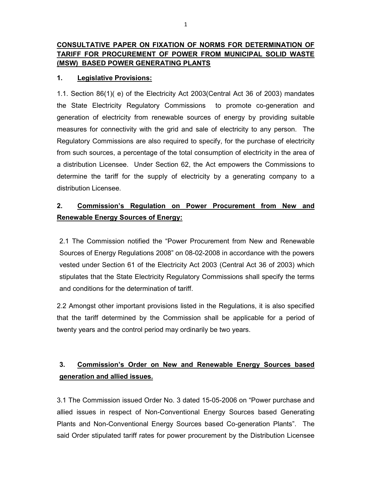# CONSULTATIVE PAPER ON FIXATION OF NORMS FOR DETERMINATION OF TARIFF FOR PROCUREMENT OF POWER FROM MUNICIPAL SOLID WASTE (MSW) BASED POWER GENERATING PLANTS

# 1. Legislative Provisions:

1.1. Section 86(1)( e) of the Electricity Act 2003(Central Act 36 of 2003) mandates the State Electricity Regulatory Commissions to promote co-generation and generation of electricity from renewable sources of energy by providing suitable measures for connectivity with the grid and sale of electricity to any person. The Regulatory Commissions are also required to specify, for the purchase of electricity from such sources, a percentage of the total consumption of electricity in the area of a distribution Licensee. Under Section 62, the Act empowers the Commissions to determine the tariff for the supply of electricity by a generating company to a distribution Licensee.

# 2. Commission's Regulation on Power Procurement from New and Renewable Energy Sources of Energy:

2.1 The Commission notified the "Power Procurement from New and Renewable Sources of Energy Regulations 2008" on 08-02-2008 in accordance with the powers vested under Section 61 of the Electricity Act 2003 (Central Act 36 of 2003) which stipulates that the State Electricity Regulatory Commissions shall specify the terms and conditions for the determination of tariff.

2.2 Amongst other important provisions listed in the Regulations, it is also specified that the tariff determined by the Commission shall be applicable for a period of twenty years and the control period may ordinarily be two years.

# 3. Commission's Order on New and Renewable Energy Sources based generation and allied issues.

3.1 The Commission issued Order No. 3 dated 15-05-2006 on "Power purchase and allied issues in respect of Non-Conventional Energy Sources based Generating Plants and Non-Conventional Energy Sources based Co-generation Plants". The said Order stipulated tariff rates for power procurement by the Distribution Licensee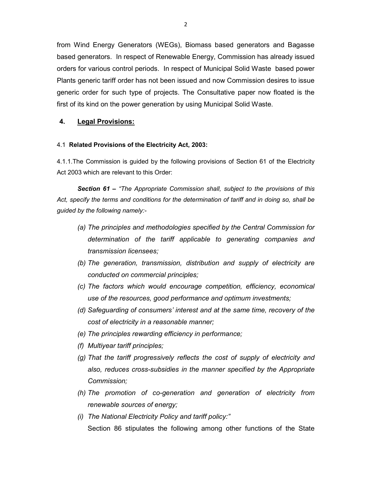from Wind Energy Generators (WEGs), Biomass based generators and Bagasse based generators. In respect of Renewable Energy, Commission has already issued orders for various control periods. In respect of Municipal Solid Waste based power Plants generic tariff order has not been issued and now Commission desires to issue generic order for such type of projects. The Consultative paper now floated is the first of its kind on the power generation by using Municipal Solid Waste.

### 4. Legal Provisions:

#### 4.1 Related Provisions of the Electricity Act, 2003:

4.1.1.The Commission is guided by the following provisions of Section 61 of the Electricity Act 2003 which are relevant to this Order:

Section 61 – "The Appropriate Commission shall, subject to the provisions of this Act, specify the terms and conditions for the determination of tariff and in doing so, shall be guided by the following namely:-

- (a) The principles and methodologies specified by the Central Commission for determination of the tariff applicable to generating companies and transmission licensees;
- (b) The generation, transmission, distribution and supply of electricity are conducted on commercial principles;
- (c) The factors which would encourage competition, efficiency, economical use of the resources, good performance and optimum investments;
- (d) Safeguarding of consumers' interest and at the same time, recovery of the cost of electricity in a reasonable manner;
- (e) The principles rewarding efficiency in performance;
- (f) Multiyear tariff principles;
- (g) That the tariff progressively reflects the cost of supply of electricity and also, reduces cross-subsidies in the manner specified by the Appropriate Commission;
- (h) The promotion of co-generation and generation of electricity from renewable sources of energy;
- (i) The National Electricity Policy and tariff policy:" Section 86 stipulates the following among other functions of the State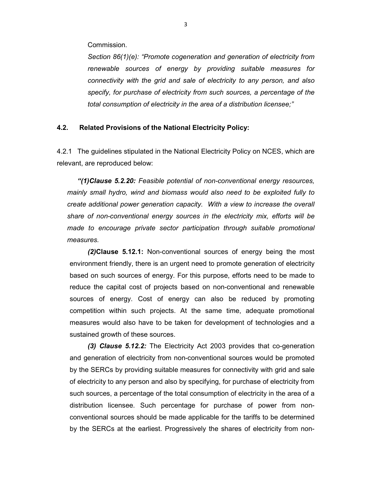Commission.

Section 86(1)(e): "Promote cogeneration and generation of electricity from renewable sources of energy by providing suitable measures for connectivity with the grid and sale of electricity to any person, and also specify, for purchase of electricity from such sources, a percentage of the total consumption of electricity in the area of a distribution licensee;"

### 4.2. Related Provisions of the National Electricity Policy:

4.2.1 The guidelines stipulated in the National Electricity Policy on NCES, which are relevant, are reproduced below:

"(1)Clause 5.2.20: Feasible potential of non-conventional energy resources, mainly small hydro, wind and biomass would also need to be exploited fully to create additional power generation capacity. With a view to increase the overall share of non-conventional energy sources in the electricity mix, efforts will be made to encourage private sector participation through suitable promotional measures.

(2)Clause 5.12.1: Non-conventional sources of energy being the most environment friendly, there is an urgent need to promote generation of electricity based on such sources of energy. For this purpose, efforts need to be made to reduce the capital cost of projects based on non-conventional and renewable sources of energy. Cost of energy can also be reduced by promoting competition within such projects. At the same time, adequate promotional measures would also have to be taken for development of technologies and a sustained growth of these sources.

(3) Clause 5.12.2: The Electricity Act 2003 provides that co-generation and generation of electricity from non-conventional sources would be promoted by the SERCs by providing suitable measures for connectivity with grid and sale of electricity to any person and also by specifying, for purchase of electricity from such sources, a percentage of the total consumption of electricity in the area of a distribution licensee. Such percentage for purchase of power from nonconventional sources should be made applicable for the tariffs to be determined by the SERCs at the earliest. Progressively the shares of electricity from non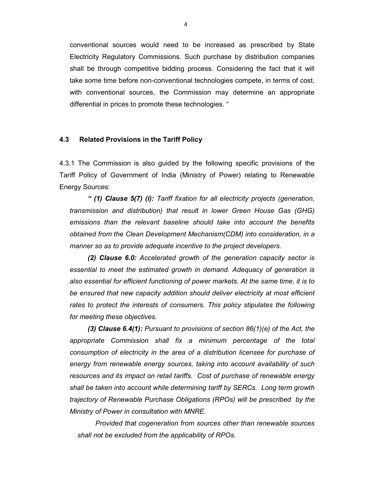conventional sources would need to be increased as prescribed by State Electricity Regulatory Commissions. Such purchase by distribution companies shall be through competitive bidding process. Considering the fact that it will take some time before non-conventional technologies compete, in terms of cost, with conventional sources, the Commission may determine an appropriate differential in prices to promote these technologies. "

#### 4.3 Related Provisions in the Tariff Policy

4.3.1 The Commission is also guided by the following specific provisions of the Tariff Policy of Government of India (Ministry of Power) relating to Renewable Energy Sources:

" (1) Clause 5(7) (i): Tariff fixation for all electricity projects (generation, transmission and distribution) that result in lower Green House Gas (GHG) emissions than the relevant baseline should take into account the benefits obtained from the Clean Development Mechanism(CDM) into consideration, in a manner so as to provide adequate incentive to the project developers.

(2) Clause 6.0: Accelerated growth of the generation capacity sector is essential to meet the estimated growth in demand. Adequacy of generation is also essential for efficient functioning of power markets. At the same time, it is to be ensured that new capacity addition should deliver electricity at most efficient rates to protect the interests of consumers. This policy stipulates the following for meeting these objectives.

(3) Clause 6.4(1): Pursuant to provisions of section  $86(1)(e)$  of the Act, the appropriate Commission shall fix a minimum percentage of the total consumption of electricity in the area of a distribution licensee for purchase of energy from renewable energy sources, taking into account availability of such resources and its impact on retail tariffs. Cost of purchase of renewable energy shall be taken into account while determining tariff by SERCs. Long term growth trajectory of Renewable Purchase Obligations (RPOs) will be prescribed by the Ministry of Power in consultation with MNRE.

Provided that cogeneration from sources other than renewable sources shall not be excluded from the applicability of RPOs.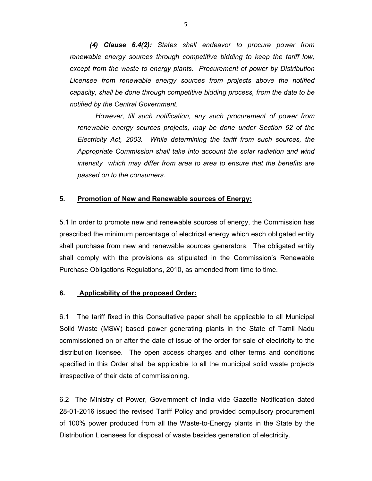(4) Clause 6.4(2): States shall endeavor to procure power from renewable energy sources through competitive bidding to keep the tariff low, except from the waste to energy plants. Procurement of power by Distribution Licensee from renewable energy sources from projects above the notified capacity, shall be done through competitive bidding process, from the date to be notified by the Central Government.

However, till such notification, any such procurement of power from renewable energy sources projects, may be done under Section 62 of the Electricity Act, 2003. While determining the tariff from such sources, the Appropriate Commission shall take into account the solar radiation and wind intensity which may differ from area to area to ensure that the benefits are passed on to the consumers.

### 5. Promotion of New and Renewable sources of Energy:

5.1 In order to promote new and renewable sources of energy, the Commission has prescribed the minimum percentage of electrical energy which each obligated entity shall purchase from new and renewable sources generators. The obligated entity shall comply with the provisions as stipulated in the Commission's Renewable Purchase Obligations Regulations, 2010, as amended from time to time.

### 6. Applicability of the proposed Order:

6.1 The tariff fixed in this Consultative paper shall be applicable to all Municipal Solid Waste (MSW) based power generating plants in the State of Tamil Nadu commissioned on or after the date of issue of the order for sale of electricity to the distribution licensee. The open access charges and other terms and conditions specified in this Order shall be applicable to all the municipal solid waste projects irrespective of their date of commissioning.

6.2 The Ministry of Power, Government of India vide Gazette Notification dated 28-01-2016 issued the revised Tariff Policy and provided compulsory procurement of 100% power produced from all the Waste-to-Energy plants in the State by the Distribution Licensees for disposal of waste besides generation of electricity.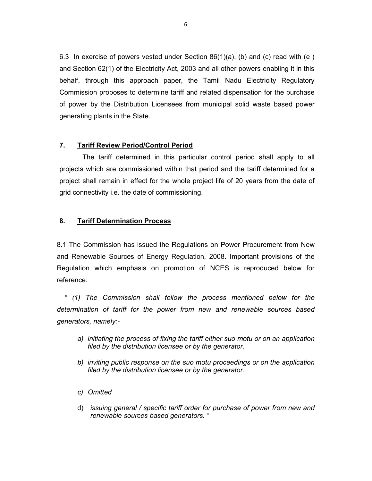6.3 In exercise of powers vested under Section 86(1)(a), (b) and (c) read with (e ) and Section 62(1) of the Electricity Act, 2003 and all other powers enabling it in this behalf, through this approach paper, the Tamil Nadu Electricity Regulatory Commission proposes to determine tariff and related dispensation for the purchase of power by the Distribution Licensees from municipal solid waste based power generating plants in the State.

## 7. Tariff Review Period/Control Period

The tariff determined in this particular control period shall apply to all projects which are commissioned within that period and the tariff determined for a project shall remain in effect for the whole project life of 20 years from the date of grid connectivity i.e. the date of commissioning.

### 8. Tariff Determination Process

8.1 The Commission has issued the Regulations on Power Procurement from New and Renewable Sources of Energy Regulation, 2008. Important provisions of the Regulation which emphasis on promotion of NCES is reproduced below for reference:

 " (1) The Commission shall follow the process mentioned below for the determination of tariff for the power from new and renewable sources based generators, namely:-

- a) initiating the process of fixing the tariff either suo motu or on an application filed by the distribution licensee or by the generator.
- b) inviting public response on the suo motu proceedings or on the application filed by the distribution licensee or by the generator.
- c) Omitted
- d) issuing general / specific tariff order for purchase of power from new and renewable sources based generators. "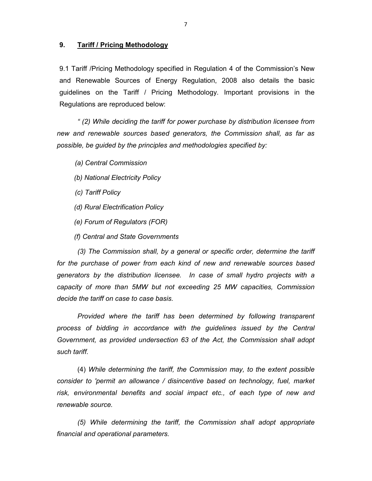#### 9. Tariff / Pricing Methodology

9.1 Tariff /Pricing Methodology specified in Regulation 4 of the Commission's New and Renewable Sources of Energy Regulation, 2008 also details the basic guidelines on the Tariff / Pricing Methodology. Important provisions in the Regulations are reproduced below:

" (2) While deciding the tariff for power purchase by distribution licensee from new and renewable sources based generators, the Commission shall, as far as possible, be guided by the principles and methodologies specified by:

(a) Central Commission

- (b) National Electricity Policy
- (c) Tariff Policy
- (d) Rural Electrification Policy
- (e) Forum of Regulators (FOR)
- (f) Central and State Governments

(3) The Commission shall, by a general or specific order, determine the tariff for the purchase of power from each kind of new and renewable sources based generators by the distribution licensee. In case of small hydro projects with a capacity of more than 5MW but not exceeding 25 MW capacities, Commission decide the tariff on case to case basis.

 Provided where the tariff has been determined by following transparent process of bidding in accordance with the guidelines issued by the Central Government, as provided undersection 63 of the Act, the Commission shall adopt such tariff.

(4) While determining the tariff, the Commission may, to the extent possible consider to 'permit an allowance / disincentive based on technology, fuel, market risk, environmental benefits and social impact etc., of each type of new and renewable source.

(5) While determining the tariff, the Commission shall adopt appropriate financial and operational parameters.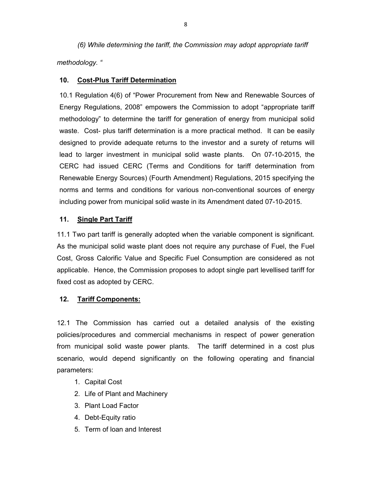(6) While determining the tariff, the Commission may adopt appropriate tariff methodology. "

### 10. Cost-Plus Tariff Determination

10.1 Regulation 4(6) of "Power Procurement from New and Renewable Sources of Energy Regulations, 2008" empowers the Commission to adopt "appropriate tariff methodology" to determine the tariff for generation of energy from municipal solid waste. Cost- plus tariff determination is a more practical method. It can be easily designed to provide adequate returns to the investor and a surety of returns will lead to larger investment in municipal solid waste plants. On 07-10-2015, the CERC had issued CERC (Terms and Conditions for tariff determination from Renewable Energy Sources) (Fourth Amendment) Regulations, 2015 specifying the norms and terms and conditions for various non-conventional sources of energy including power from municipal solid waste in its Amendment dated 07-10-2015.

### 11. Single Part Tariff

11.1 Two part tariff is generally adopted when the variable component is significant. As the municipal solid waste plant does not require any purchase of Fuel, the Fuel Cost, Gross Calorific Value and Specific Fuel Consumption are considered as not applicable. Hence, the Commission proposes to adopt single part levellised tariff for fixed cost as adopted by CERC.

#### 12. Tariff Components:

12.1 The Commission has carried out a detailed analysis of the existing policies/procedures and commercial mechanisms in respect of power generation from municipal solid waste power plants. The tariff determined in a cost plus scenario, would depend significantly on the following operating and financial parameters:

- 1. Capital Cost
- 2. Life of Plant and Machinery
- 3. Plant Load Factor
- 4. Debt-Equity ratio
- 5. Term of loan and Interest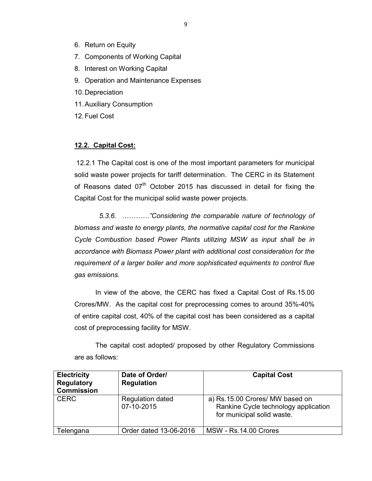- 6. Return on Equity
- 7. Components of Working Capital
- 8. Interest on Working Capital
- 9. Operation and Maintenance Expenses
- 10. Depreciation
- 11. Auxiliary Consumption
- 12. Fuel Cost

#### 12.2. Capital Cost:

 12.2.1 The Capital cost is one of the most important parameters for municipal solid waste power projects for tariff determination. The CERC in its Statement of Reasons dated 07<sup>th</sup> October 2015 has discussed in detail for fixing the Capital Cost for the municipal solid waste power projects.

 5.3.6. …………"Considering the comparable nature of technology of biomass and waste to energy plants, the normative capital cost for the Rankine Cycle Combustion based Power Plants utilizing MSW as input shall be in accordance with Biomass Power plant with additional cost consideration for the requirement of a larger boiler and more sophisticated equiments to control flue gas emissions.

 In view of the above, the CERC has fixed a Capital Cost of Rs.15.00 Crores/MW. As the capital cost for preprocessing comes to around 35%-40% of entire capital cost, 40% of the capital cost has been considered as a capital cost of preprocessing facility for MSW.

 The capital cost adopted/ proposed by other Regulatory Commissions are as follows:

| <b>Electricity</b><br><b>Regulatory</b><br><b>Commission</b> | Date of Order/<br><b>Regulation</b>   | <b>Capital Cost</b>                                                                                   |
|--------------------------------------------------------------|---------------------------------------|-------------------------------------------------------------------------------------------------------|
| <b>CERC</b>                                                  | <b>Regulation dated</b><br>07-10-2015 | a) Rs.15.00 Crores/ MW based on<br>Rankine Cycle technology application<br>for municipal solid waste. |
| Telengana                                                    | Order dated 13-06-2016                | <b>MSW - Rs.14.00 Crores</b>                                                                          |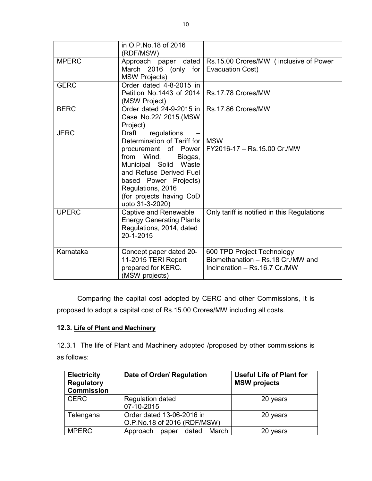|              | in O.P.No.18 of 2016<br>(RDF/MSW)                                                                                                                                                                                                                              |                                                                                                  |
|--------------|----------------------------------------------------------------------------------------------------------------------------------------------------------------------------------------------------------------------------------------------------------------|--------------------------------------------------------------------------------------------------|
| <b>MPERC</b> | March 2016 (only for<br><b>MSW Projects)</b>                                                                                                                                                                                                                   | Approach paper dated   Rs.15.00 Crores/MW (inclusive of Power<br>Evacuation Cost)                |
| <b>GERC</b>  | Order dated 4-8-2015 in<br>Petition No.1443 of 2014   Rs.17.78 Crores/MW<br>(MSW Project)                                                                                                                                                                      |                                                                                                  |
| <b>BERC</b>  | Order dated 24-9-2015 in   Rs.17.86 Crores/MW<br>Case No.22/ 2015.(MSW<br>Project)                                                                                                                                                                             |                                                                                                  |
| <b>JERC</b>  | regulations<br><b>Draft</b><br>Determination of Tariff for I<br>procurement of Power<br>from Wind,<br>Biogas,<br>Municipal Solid Waste<br>and Refuse Derived Fuel<br>based Power Projects)<br>Regulations, 2016<br>(for projects having CoD<br>upto 31-3-2020) | <b>MSW</b><br>FY2016-17 - Rs.15.00 Cr./MW                                                        |
| <b>UPERC</b> | <b>Captive and Renewable</b><br><b>Energy Generating Plants</b><br>Regulations, 2014, dated<br>20-1-2015                                                                                                                                                       | Only tariff is notified in this Regulations                                                      |
| Karnataka    | Concept paper dated 20-<br>11-2015 TERI Report<br>prepared for KERC.<br>(MSW projects)                                                                                                                                                                         | 600 TPD Project Technology<br>Biomethanation - Rs.18 Cr./MW and<br>Incineration - Rs.16.7 Cr./MW |

 Comparing the capital cost adopted by CERC and other Commissions, it is proposed to adopt a capital cost of Rs.15.00 Crores/MW including all costs.

## 12.3. Life of Plant and Machinery

12.3.1 The life of Plant and Machinery adopted /proposed by other commissions is as follows:

| <b>Electricity</b><br><b>Regulatory</b><br><b>Commission</b> | Date of Order/ Regulation                                | <b>Useful Life of Plant for</b><br><b>MSW</b> projects |
|--------------------------------------------------------------|----------------------------------------------------------|--------------------------------------------------------|
| <b>CERC</b>                                                  | <b>Regulation dated</b><br>07-10-2015                    | 20 years                                               |
| Telengana                                                    | Order dated 13-06-2016 in<br>O.P.No.18 of 2016 (RDF/MSW) | 20 years                                               |
| <b>MPERC</b>                                                 | Approach<br>March<br>dated<br>paper                      | years                                                  |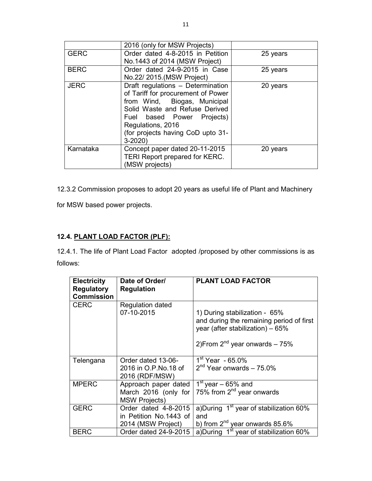|             | 2016 (only for MSW Projects)          |          |
|-------------|---------------------------------------|----------|
| <b>GERC</b> | Order dated 4-8-2015 in Petition      | 25 years |
|             | No.1443 of 2014 (MSW Project)         |          |
| <b>BERC</b> | Order dated 24-9-2015 in Case         | 25 years |
|             | No.22/ 2015. (MSW Project)            |          |
| <b>JERC</b> | Draft regulations - Determination     | 20 years |
|             | of Tariff for procurement of Power    |          |
|             | from Wind, Biogas, Municipal          |          |
|             | Solid Waste and Refuse Derived        |          |
|             | Fuel based Power Projects)            |          |
|             | Regulations, 2016                     |          |
|             | (for projects having CoD upto 31-     |          |
|             | $3 - 2020$                            |          |
| Karnataka   | Concept paper dated 20-11-2015        | 20 years |
|             | <b>TERI Report prepared for KERC.</b> |          |
|             | (MSW projects)                        |          |

12.3.2 Commission proposes to adopt 20 years as useful life of Plant and Machinery

for MSW based power projects.

# 12.4. PLANT LOAD FACTOR (PLF):

12.4.1. The life of Plant Load Factor adopted /proposed by other commissions is as follows:

| <b>Electricity</b><br><b>Regulatory</b><br><b>Commission</b> | Date of Order/<br><b>Regulation</b>                                  | <b>PLANT LOAD FACTOR</b>                                                                                                                              |
|--------------------------------------------------------------|----------------------------------------------------------------------|-------------------------------------------------------------------------------------------------------------------------------------------------------|
| <b>CERC</b>                                                  | <b>Regulation dated</b><br>07-10-2015                                | 1) During stabilization - 65%<br>and during the remaining period of first<br>year (after stabilization) - 65%<br>2) From $2^{nd}$ year onwards $-75%$ |
| Telengana                                                    | Order dated 13-06-<br>2016 in O.P.No.18 of<br>2016 (RDF/MSW)         | $1st$ Year - 65.0%<br>$2nd$ Year onwards - 75.0%                                                                                                      |
| <b>MPERC</b>                                                 | Approach paper dated<br>March 2016 (only for<br><b>MSW Projects)</b> | $1st$ year – 65% and<br>75% from $2^{nd}$ year onwards                                                                                                |
| <b>GERC</b>                                                  | Order dated 4-8-2015<br>in Petition No.1443 of<br>2014 (MSW Project) | a)During 1 <sup>st</sup> year of stabilization 60%<br>and<br>b) from $2^{nd}$ year onwards 85.6%                                                      |
| <b>BERC</b>                                                  | Order dated 24-9-2015                                                | a)During 1 <sup>st</sup> year of stabilization 60%                                                                                                    |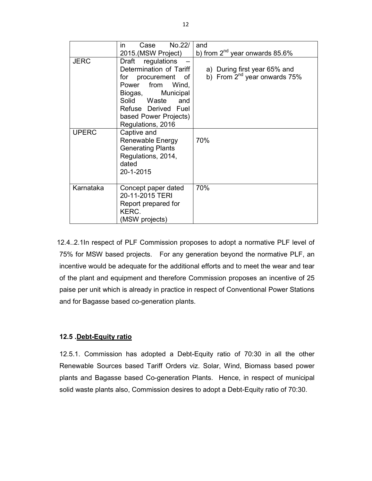|              | No.22/<br>in<br>Case                                                                                                                                                                                            | and                                                               |
|--------------|-----------------------------------------------------------------------------------------------------------------------------------------------------------------------------------------------------------------|-------------------------------------------------------------------|
|              | 2015.(MSW Project)                                                                                                                                                                                              | b) from $2^{nd}$ year onwards 85.6%                               |
| <b>JERC</b>  | regulations<br>Draft<br>Determination of Tariff<br>for procurement of<br>Power from<br>Wind,<br>Municipal<br>Biogas,<br>Solid Waste<br>and<br>Refuse Derived Fuel<br>based Power Projects)<br>Regulations, 2016 | a) During first year 65% and<br>b) From $2^{nd}$ year onwards 75% |
| <b>UPERC</b> | Captive and<br>Renewable Energy<br><b>Generating Plants</b><br>Regulations, 2014,<br>dated<br>20-1-2015                                                                                                         | 70%                                                               |
| Karnataka    | Concept paper dated<br>20-11-2015 TERI<br>Report prepared for<br>KERC.<br>(MSW projects)                                                                                                                        | 70%                                                               |

12.4..2.1In respect of PLF Commission proposes to adopt a normative PLF level of 75% for MSW based projects. For any generation beyond the normative PLF, an incentive would be adequate for the additional efforts and to meet the wear and tear of the plant and equipment and therefore Commission proposes an incentive of 25 paise per unit which is already in practice in respect of Conventional Power Stations and for Bagasse based co-generation plants.

### 12.5 .Debt-Equity ratio

12.5.1. Commission has adopted a Debt-Equity ratio of 70:30 in all the other Renewable Sources based Tariff Orders viz. Solar, Wind, Biomass based power plants and Bagasse based Co-generation Plants. Hence, in respect of municipal solid waste plants also, Commission desires to adopt a Debt-Equity ratio of 70:30.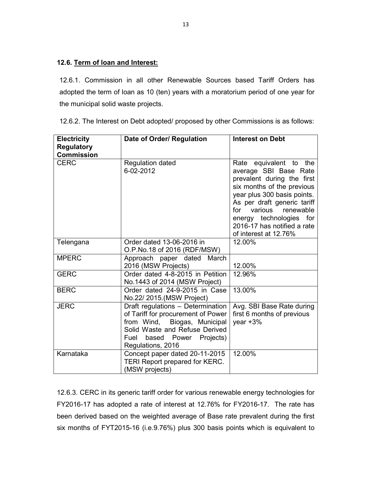# 12.6. Term of loan and Interest:

12.6.1. Commission in all other Renewable Sources based Tariff Orders has adopted the term of loan as 10 (ten) years with a moratorium period of one year for the municipal solid waste projects.

12.6.2. The Interest on Debt adopted/ proposed by other Commissions is as follows:

| <b>Electricity</b><br><b>Regulatory</b><br><b>Commission</b> | Date of Order/ Regulation                                                                                                                                                                       | <b>Interest on Debt</b>                                                                                                                                                                                                                                                                        |
|--------------------------------------------------------------|-------------------------------------------------------------------------------------------------------------------------------------------------------------------------------------------------|------------------------------------------------------------------------------------------------------------------------------------------------------------------------------------------------------------------------------------------------------------------------------------------------|
| <b>CERC</b>                                                  | <b>Regulation dated</b><br>6-02-2012                                                                                                                                                            | equivalent to the<br>Rate<br>average SBI Base Rate<br>prevalent during the first<br>six months of the previous<br>year plus 300 basis points.<br>As per draft generic tariff<br>for<br>various<br>renewable<br>energy technologies for<br>2016-17 has notified a rate<br>of interest at 12.76% |
| Telengana                                                    | Order dated 13-06-2016 in<br>O.P.No.18 of 2016 (RDF/MSW)                                                                                                                                        | 12.00%                                                                                                                                                                                                                                                                                         |
| <b>MPERC</b>                                                 | Approach paper dated<br>March<br>2016 (MSW Projects)                                                                                                                                            | 12.00%                                                                                                                                                                                                                                                                                         |
| <b>GERC</b>                                                  | Order dated 4-8-2015 in Petition<br>No.1443 of 2014 (MSW Project)                                                                                                                               | 12.96%                                                                                                                                                                                                                                                                                         |
| <b>BERC</b>                                                  | Order dated 24-9-2015 in Case<br>No.22/ 2015.(MSW Project)                                                                                                                                      | 13.00%                                                                                                                                                                                                                                                                                         |
| <b>JERC</b>                                                  | Draft regulations - Determination<br>of Tariff for procurement of Power<br>from Wind, Biogas, Municipal<br>Solid Waste and Refuse Derived<br>based Power Projects)<br>Fuel<br>Regulations, 2016 | Avg. SBI Base Rate during<br>first 6 months of previous<br>year $+3%$                                                                                                                                                                                                                          |
| Karnataka                                                    | Concept paper dated 20-11-2015<br>TERI Report prepared for KERC.<br>(MSW projects)                                                                                                              | 12.00%                                                                                                                                                                                                                                                                                         |

12.6.3. CERC in its generic tariff order for various renewable energy technologies for FY2016-17 has adopted a rate of interest at 12.76% for FY2016-17. The rate has been derived based on the weighted average of Base rate prevalent during the first six months of FYT2015-16 (i.e.9.76%) plus 300 basis points which is equivalent to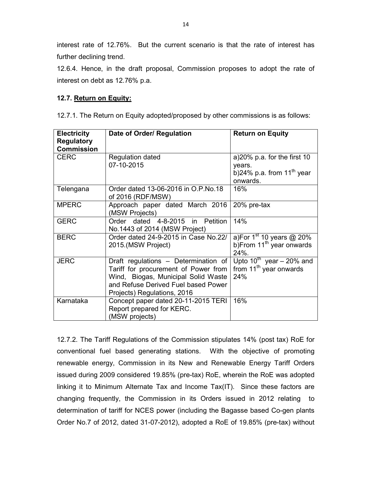interest rate of 12.76%. But the current scenario is that the rate of interest has further declining trend.

12.6.4. Hence, in the draft proposal, Commission proposes to adopt the rate of interest on debt as 12.76% p.a.

## 12.7. Return on Equity:

12.7.1. The Return on Equity adopted/proposed by other commissions is as follows:

| <b>Electricity</b><br><b>Regulatory</b> | Date of Order/ Regulation                                                 | <b>Return on Equity</b>            |
|-----------------------------------------|---------------------------------------------------------------------------|------------------------------------|
| <b>Commission</b>                       |                                                                           |                                    |
| <b>CERC</b>                             | <b>Regulation dated</b>                                                   | a) $20\%$ p.a. for the first 10    |
|                                         | 07-10-2015                                                                | years.                             |
|                                         |                                                                           | b)24% p.a. from $11^{th}$ year     |
|                                         |                                                                           | onwards.                           |
| Telengana                               | Order dated 13-06-2016 in O.P.No.18<br>of 2016 (RDF/MSW)                  | 16%                                |
| <b>MPERC</b>                            | Approach paper dated March 2016                                           | 20% pre-tax                        |
|                                         | (MSW Projects)                                                            |                                    |
| <b>GERC</b>                             | Order dated 4-8-2015 in Petition                                          | 14%                                |
|                                         | No.1443 of 2014 (MSW Project)                                             |                                    |
| <b>BERC</b>                             | Order dated 24-9-2015 in Case No.22/                                      | a)For $1st 10$ years @ 20%         |
|                                         | 2015.(MSW Project)                                                        | b) From $11^{th}$ year onwards     |
|                                         |                                                                           | 24%.                               |
| <b>JERC</b>                             | Draft regulations – Determination of Upto 10 <sup>th</sup> year – 20% and |                                    |
|                                         | Tariff for procurement of Power from                                      | from 11 <sup>th</sup> year onwards |
|                                         | Wind, Biogas, Municipal Solid Waste                                       | 24%                                |
|                                         | and Refuse Derived Fuel based Power                                       |                                    |
|                                         | Projects) Regulations, 2016                                               |                                    |
| Karnataka                               | Concept paper dated 20-11-2015 TERI                                       | 16%                                |
|                                         | Report prepared for KERC.                                                 |                                    |
|                                         | (MSW projects)                                                            |                                    |

12.7.2. The Tariff Regulations of the Commission stipulates 14% (post tax) RoE for conventional fuel based generating stations. With the objective of promoting renewable energy, Commission in its New and Renewable Energy Tariff Orders issued during 2009 considered 19.85% (pre-tax) RoE, wherein the RoE was adopted linking it to Minimum Alternate Tax and Income Tax(IT). Since these factors are changing frequently, the Commission in its Orders issued in 2012 relating to determination of tariff for NCES power (including the Bagasse based Co-gen plants Order No.7 of 2012, dated 31-07-2012), adopted a RoE of 19.85% (pre-tax) without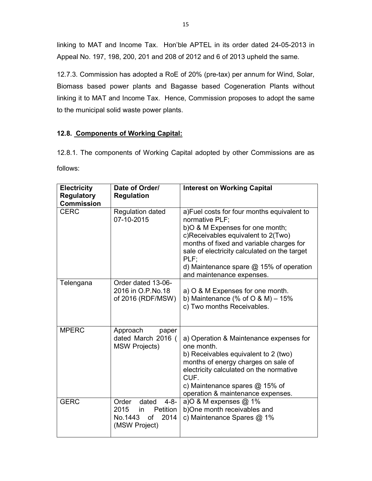linking to MAT and Income Tax. Hon'ble APTEL in its order dated 24-05-2013 in Appeal No. 197, 198, 200, 201 and 208 of 2012 and 6 of 2013 upheld the same.

12.7.3. Commission has adopted a RoE of 20% (pre-tax) per annum for Wind, Solar, Biomass based power plants and Bagasse based Cogeneration Plants without linking it to MAT and Income Tax. Hence, Commission proposes to adopt the same to the municipal solid waste power plants.

# 12.8. Components of Working Capital:

12.8.1. The components of Working Capital adopted by other Commissions are as follows:

| <b>Electricity</b><br><b>Regulatory</b> | Date of Order/<br><b>Regulation</b>                                                               | <b>Interest on Working Capital</b>                                                                                                                                                                                                                                                                                   |
|-----------------------------------------|---------------------------------------------------------------------------------------------------|----------------------------------------------------------------------------------------------------------------------------------------------------------------------------------------------------------------------------------------------------------------------------------------------------------------------|
| <b>Commission</b>                       |                                                                                                   |                                                                                                                                                                                                                                                                                                                      |
| <b>CERC</b>                             | <b>Regulation dated</b><br>07-10-2015                                                             | a)Fuel costs for four months equivalent to<br>normative PLF:<br>b) O & M Expenses for one month;<br>c)Receivables equivalent to 2(Two)<br>months of fixed and variable charges for<br>sale of electricity calculated on the target<br>PLF:<br>d) Maintenance spare $@$ 15% of operation<br>and maintenance expenses. |
| Telengana                               | Order dated 13-06-<br>2016 in O.P.No.18<br>of 2016 (RDF/MSW)                                      | a) O & M Expenses for one month.<br>b) Maintenance (% of $O$ & M) - 15%<br>c) Two months Receivables.                                                                                                                                                                                                                |
| <b>MPERC</b>                            | Approach<br>paper<br>dated March 2016 (<br><b>MSW Projects)</b>                                   | a) Operation & Maintenance expenses for<br>one month.<br>b) Receivables equivalent to 2 (two)<br>months of energy charges on sale of<br>electricity calculated on the normative<br>CUF.<br>c) Maintenance spares $@$ 15% of<br>operation & maintenance expenses.                                                     |
| <b>GERC</b>                             | Order<br>dated<br>4-8-<br>2015<br><b>Petition</b><br>in<br>No.1443<br>of<br>2014<br>(MSW Project) | a)O & M expenses @ 1%<br>b)One month receivables and<br>c) Maintenance Spares @ 1%                                                                                                                                                                                                                                   |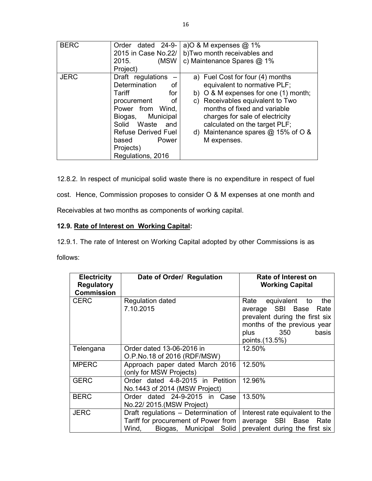| <b>BERC</b> | Order dated 24-9-<br>2015 in Case No.22/<br>(MSW)<br>2015.<br>Project)                                                                                                                                                          | a) O & M expenses $@$ 1%<br>b)Two month receivables and<br>c) Maintenance Spares $@$ 1%                                                                                                                                                                                                                       |
|-------------|---------------------------------------------------------------------------------------------------------------------------------------------------------------------------------------------------------------------------------|---------------------------------------------------------------------------------------------------------------------------------------------------------------------------------------------------------------------------------------------------------------------------------------------------------------|
| <b>JERC</b> | Draft regulations<br>Determination<br>оf<br>Tariff<br>for<br>of<br>procurement<br>Power from Wind,<br>Biogas, Municipal<br>Solid Waste<br>and<br><b>Refuse Derived Fuel</b><br>Power<br>based<br>Projects)<br>Regulations, 2016 | a) Fuel Cost for four (4) months<br>equivalent to normative PLF;<br>b) $\circ$ & M expenses for one (1) month;<br>c) Receivables equivalent to Two<br>months of fixed and variable<br>charges for sale of electricity<br>calculated on the target PLF;<br>d) Maintenance spares $@$ 15% of O &<br>M expenses. |

12.8.2. In respect of municipal solid waste there is no expenditure in respect of fuel

cost. Hence, Commission proposes to consider O & M expenses at one month and

Receivables at two months as components of working capital.

# 12.9. Rate of Interest on Working Capital:

12.9.1. The rate of Interest on Working Capital adopted by other Commissions is as follows:

| <b>Electricity</b><br><b>Regulatory</b><br><b>Commission</b> | Date of Order/ Regulation                                                                                        | <b>Rate of Interest on</b><br><b>Working Capital</b>                                                                                                             |
|--------------------------------------------------------------|------------------------------------------------------------------------------------------------------------------|------------------------------------------------------------------------------------------------------------------------------------------------------------------|
| <b>CERC</b>                                                  | <b>Regulation dated</b><br>7.10.2015                                                                             | the<br>Rate equivalent to<br>average SBI Base<br>Rate<br>prevalent during the first six<br>months of the previous year<br>350<br>basis<br>plus<br>points.(13.5%) |
| Telengana                                                    | Order dated 13-06-2016 in<br>O.P.No.18 of 2016 (RDF/MSW)                                                         | 12.50%                                                                                                                                                           |
| <b>MPERC</b>                                                 | Approach paper dated March 2016<br>(only for MSW Projects)                                                       | 12.50%                                                                                                                                                           |
| <b>GERC</b>                                                  | Order dated 4-8-2015 in Petition<br>No.1443 of 2014 (MSW Project)                                                | 12.96%                                                                                                                                                           |
| <b>BERC</b>                                                  | Order dated 24-9-2015 in Case<br>No.22/2015. (MSW Project)                                                       | 13.50%                                                                                                                                                           |
| <b>JERC</b>                                                  | Draft regulations - Determination of<br>Tariff for procurement of Power from<br>Biogas, Municipal Solid<br>Wind. | Interest rate equivalent to the<br>average SBI Base<br>Rate<br>prevalent during the first six                                                                    |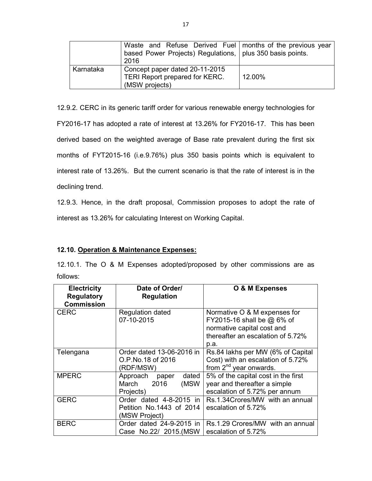|           | Waste and Refuse Derived Fuel   months of the previous year<br>based Power Projects) Regulations,   plus 350 basis points.<br>2016 |        |
|-----------|------------------------------------------------------------------------------------------------------------------------------------|--------|
| Karnataka | Concept paper dated 20-11-2015<br>TERI Report prepared for KERC.<br>(MSW projects)                                                 | 12.00% |

12.9.2. CERC in its generic tariff order for various renewable energy technologies for FY2016-17 has adopted a rate of interest at 13.26% for FY2016-17. This has been derived based on the weighted average of Base rate prevalent during the first six months of FYT2015-16 (i.e.9.76%) plus 350 basis points which is equivalent to interest rate of 13.26%. But the current scenario is that the rate of interest is in the declining trend.

12.9.3. Hence, in the draft proposal, Commission proposes to adopt the rate of interest as 13.26% for calculating Interest on Working Capital.

### 12.10. Operation & Maintenance Expenses:

12.10.1. The O & M Expenses adopted/proposed by other commissions are as follows:

| <b>Electricity</b><br><b>Regulatory</b><br><b>Commission</b> | Date of Order/<br><b>Regulation</b>                                  | O & M Expenses                                                                                                                          |
|--------------------------------------------------------------|----------------------------------------------------------------------|-----------------------------------------------------------------------------------------------------------------------------------------|
| <b>CERC</b>                                                  | <b>Regulation dated</b><br>07-10-2015                                | Normative O & M expenses for<br>FY2015-16 shall be $@$ 6% of<br>normative capital cost and<br>thereafter an escalation of 5.72%<br>p.a. |
| Telengana                                                    | Order dated 13-06-2016 in<br>O.P.No.18 of 2016<br>(RDF/MSW)          | Rs.84 lakhs per MW (6% of Capital<br>Cost) with an escalation of 5.72%<br>from 2 <sup>nd</sup> year onwards.                            |
| <b>MPERC</b>                                                 | Approach paper<br>dated<br>March<br>2016<br>(MSW<br>Projects)        | 5% of the capital cost in the first<br>year and thereafter a simple<br>escalation of 5.72% per annum                                    |
| <b>GERC</b>                                                  | Order dated 4-8-2015 in<br>Petition No.1443 of 2014<br>(MSW Project) | Rs.1.34Crores/MW with an annual<br>escalation of 5.72%                                                                                  |
| <b>BERC</b>                                                  | Order dated 24-9-2015 in<br>Case No.22/ 2015.(MSW                    | Rs.1.29 Crores/MW with an annual<br>escalation of 5.72%                                                                                 |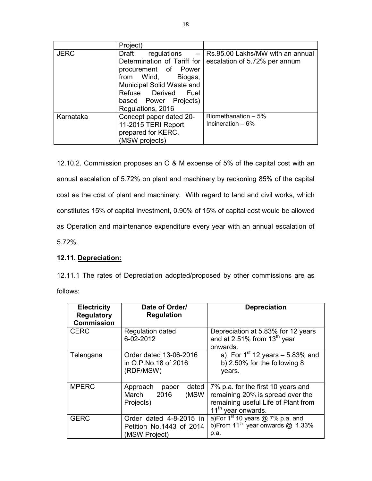|             | Project)                                                                                                                                                                                                                              |                                                                   |
|-------------|---------------------------------------------------------------------------------------------------------------------------------------------------------------------------------------------------------------------------------------|-------------------------------------------------------------------|
| <b>JERC</b> | Draft<br>regulations<br>$\overline{\phantom{m}}$<br>Determination of Tariff for<br>procurement of Power<br>from Wind,<br>Biogas,<br>Municipal Solid Waste and<br>Refuse Derived<br>Fuel<br>based Power Projects)<br>Regulations, 2016 | Rs.95.00 Lakhs/MW with an annual<br>escalation of 5.72% per annum |
| Karnataka   | Concept paper dated 20-<br>11-2015 TERI Report<br>prepared for KERC.<br>(MSW projects)                                                                                                                                                | Biomethanation - 5%<br>Incineration $-6\%$                        |

12.10.2. Commission proposes an O & M expense of 5% of the capital cost with an annual escalation of 5.72% on plant and machinery by reckoning 85% of the capital cost as the cost of plant and machinery. With regard to land and civil works, which constitutes 15% of capital investment, 0.90% of 15% of capital cost would be allowed as Operation and maintenance expenditure every year with an annual escalation of 5.72%.

# 12.11. Depreciation:

12.11.1 The rates of Depreciation adopted/proposed by other commissions are as follows:

| <b>Electricity</b><br><b>Regulatory</b><br><b>Commission</b> | Date of Order/<br><b>Regulation</b>                                  | <b>Depreciation</b>                                                                                                                             |
|--------------------------------------------------------------|----------------------------------------------------------------------|-------------------------------------------------------------------------------------------------------------------------------------------------|
| <b>CERC</b>                                                  | <b>Regulation dated</b><br>6-02-2012                                 | Depreciation at 5.83% for 12 years<br>and at 2.51% from 13 <sup>th</sup> year<br>onwards.                                                       |
| Telengana                                                    | Order dated 13-06-2016<br>in O.P.No.18 of 2016<br>(RDF/MSW)          | a) For $1st 12$ years $-5.83%$ and<br>b) 2.50% for the following 8<br>years.                                                                    |
| <b>MPERC</b>                                                 | dated<br>Approach<br>paper<br>2016<br>(MSW<br>March<br>Projects)     | 7% p.a. for the first 10 years and<br>remaining 20% is spread over the<br>remaining useful Life of Plant from<br>11 <sup>th</sup> year onwards. |
| <b>GERC</b>                                                  | Order dated 4-8-2015 in<br>Petition No.1443 of 2014<br>(MSW Project) | a)For $1st 10$ years @ 7% p.a. and<br>b)From 11 <sup>th</sup> year onwards $@$ 1.33%<br>p.a.                                                    |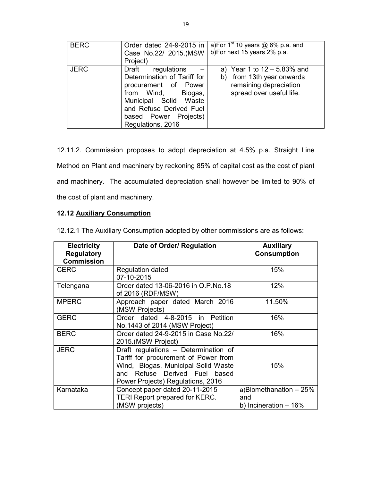| <b>BERC</b> | Order dated 24-9-2015 in<br>Case No.22/ 2015.(MSW<br>Project)                                                                                                                                          | a)For $1^{st}$ 10 years @ 6% p.a. and<br>b)For next 15 years 2% p.a.                                                 |
|-------------|--------------------------------------------------------------------------------------------------------------------------------------------------------------------------------------------------------|----------------------------------------------------------------------------------------------------------------------|
| <b>JERC</b> | Draft<br>regulations<br>Determination of Tariff for<br>procurement of Power<br>from Wind,<br>Biogas,<br>Municipal Solid Waste<br>and Refuse Derived Fuel<br>based Power Projects)<br>Regulations, 2016 | a) Year 1 to $12 - 5.83\%$ and<br>from 13th year onwards<br>b)<br>remaining depreciation<br>spread over useful life. |

12.11.2. Commission proposes to adopt depreciation at 4.5% p.a. Straight Line Method on Plant and machinery by reckoning 85% of capital cost as the cost of plant and machinery. The accumulated depreciation shall however be limited to 90% of the cost of plant and machinery.

# 12.12 Auxiliary Consumption

| <b>Electricity</b><br><b>Regulatory</b><br><b>Commission</b> | Date of Order/ Regulation                                                                                                                                                                 | <b>Auxiliary</b><br><b>Consumption</b>                  |
|--------------------------------------------------------------|-------------------------------------------------------------------------------------------------------------------------------------------------------------------------------------------|---------------------------------------------------------|
| <b>CERC</b>                                                  | <b>Regulation dated</b><br>07-10-2015                                                                                                                                                     | 15%                                                     |
| Telengana                                                    | Order dated 13-06-2016 in O.P.No.18<br>of 2016 (RDF/MSW)                                                                                                                                  | 12%                                                     |
| <b>MPERC</b>                                                 | Approach paper dated March 2016<br>(MSW Projects)                                                                                                                                         | 11.50%                                                  |
| <b>GERC</b>                                                  | Order dated 4-8-2015 in Petition<br>No.1443 of 2014 (MSW Project)                                                                                                                         | 16%                                                     |
| <b>BERC</b>                                                  | Order dated 24-9-2015 in Case No.22/<br>2015.(MSW Project)                                                                                                                                | 16%                                                     |
| <b>JERC</b>                                                  | Draft regulations - Determination of<br>Tariff for procurement of Power from<br>Wind, Biogas, Municipal Solid Waste<br>and Refuse Derived Fuel based<br>Power Projects) Regulations, 2016 | 15%                                                     |
| Karnataka                                                    | Concept paper dated 20-11-2015<br><b>TERI Report prepared for KERC.</b><br>(MSW projects)                                                                                                 | a)Biomethanation - 25%<br>and<br>b) Incineration $-16%$ |

12.12.1 The Auxiliary Consumption adopted by other commissions are as follows: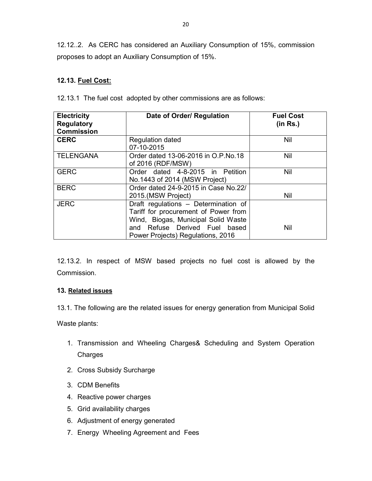12.12..2. As CERC has considered an Auxiliary Consumption of 15%, commission proposes to adopt an Auxiliary Consumption of 15%.

# 12.13. Fuel Cost:

12.13.1 The fuel cost adopted by other commissions are as follows:

| <b>Electricity</b><br><b>Regulatory</b><br><b>Commission</b> | Date of Order/ Regulation                                                                                           | <b>Fuel Cost</b><br>(in Rs.) |
|--------------------------------------------------------------|---------------------------------------------------------------------------------------------------------------------|------------------------------|
| <b>CERC</b>                                                  | <b>Regulation dated</b><br>07-10-2015                                                                               | Nil                          |
| <b>TELENGANA</b>                                             | Order dated 13-06-2016 in O.P.No.18<br>of 2016 (RDF/MSW)                                                            | Nil                          |
| <b>GERC</b>                                                  | Order dated 4-8-2015 in Petition<br>No.1443 of 2014 (MSW Project)                                                   | Nil                          |
| <b>BERC</b>                                                  | Order dated 24-9-2015 in Case No.22/<br>2015.(MSW Project)                                                          | Nil                          |
| <b>JERC</b>                                                  | Draft regulations - Determination of<br>Tariff for procurement of Power from<br>Wind, Biogas, Municipal Solid Waste |                              |
|                                                              | and Refuse Derived Fuel based<br>Power Projects) Regulations, 2016                                                  | Nil                          |

12.13.2. In respect of MSW based projects no fuel cost is allowed by the Commission.

### 13. Related issues

13.1. The following are the related issues for energy generation from Municipal Solid

Waste plants:

- 1. Transmission and Wheeling Charges& Scheduling and System Operation Charges
- 2. Cross Subsidy Surcharge
- 3. CDM Benefits
- 4. Reactive power charges
- 5. Grid availability charges
- 6. Adjustment of energy generated
- 7. Energy Wheeling Agreement and Fees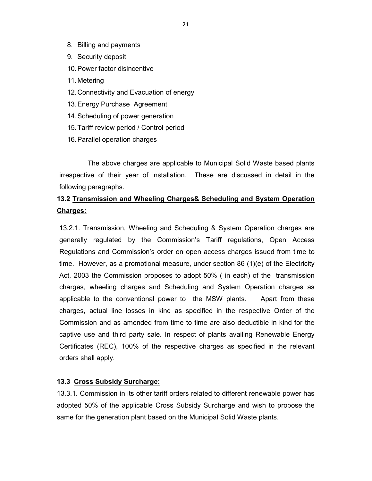- 8. Billing and payments
- 9. Security deposit
- 10. Power factor disincentive
- 11. Metering
- 12. Connectivity and Evacuation of energy
- 13. Energy Purchase Agreement
- 14. Scheduling of power generation
- 15. Tariff review period / Control period
- 16. Parallel operation charges

The above charges are applicable to Municipal Solid Waste based plants irrespective of their year of installation. These are discussed in detail in the following paragraphs.

# 13.2 Transmission and Wheeling Charges& Scheduling and System Operation Charges:

13.2.1. Transmission, Wheeling and Scheduling & System Operation charges are generally regulated by the Commission's Tariff regulations, Open Access Regulations and Commission's order on open access charges issued from time to time. However, as a promotional measure, under section 86 (1)(e) of the Electricity Act, 2003 the Commission proposes to adopt 50% ( in each) of the transmission charges, wheeling charges and Scheduling and System Operation charges as applicable to the conventional power to the MSW plants. Apart from these charges, actual line losses in kind as specified in the respective Order of the Commission and as amended from time to time are also deductible in kind for the captive use and third party sale. In respect of plants availing Renewable Energy Certificates (REC), 100% of the respective charges as specified in the relevant orders shall apply.

#### 13.3 Cross Subsidy Surcharge:

13.3.1. Commission in its other tariff orders related to different renewable power has adopted 50% of the applicable Cross Subsidy Surcharge and wish to propose the same for the generation plant based on the Municipal Solid Waste plants.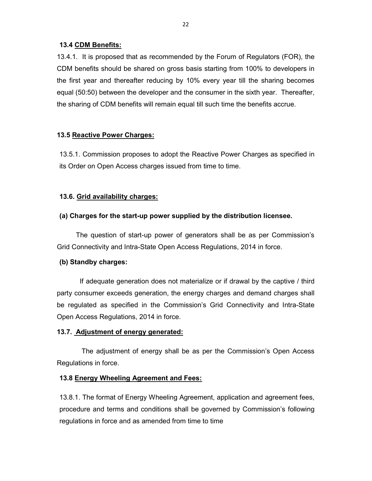### 13.4 CDM Benefits:

13.4.1. It is proposed that as recommended by the Forum of Regulators (FOR), the CDM benefits should be shared on gross basis starting from 100% to developers in the first year and thereafter reducing by 10% every year till the sharing becomes equal (50:50) between the developer and the consumer in the sixth year. Thereafter, the sharing of CDM benefits will remain equal till such time the benefits accrue.

### 13.5 Reactive Power Charges:

13.5.1. Commission proposes to adopt the Reactive Power Charges as specified in its Order on Open Access charges issued from time to time.

### 13.6. Grid availability charges:

### (a) Charges for the start-up power supplied by the distribution licensee.

 The question of start-up power of generators shall be as per Commission's Grid Connectivity and Intra-State Open Access Regulations, 2014 in force.

#### (b) Standby charges:

 If adequate generation does not materialize or if drawal by the captive / third party consumer exceeds generation, the energy charges and demand charges shall be regulated as specified in the Commission's Grid Connectivity and Intra-State Open Access Regulations, 2014 in force.

### 13.7. Adjustment of energy generated:

 The adjustment of energy shall be as per the Commission's Open Access Regulations in force.

### 13.8 Energy Wheeling Agreement and Fees:

13.8.1. The format of Energy Wheeling Agreement, application and agreement fees, procedure and terms and conditions shall be governed by Commission's following regulations in force and as amended from time to time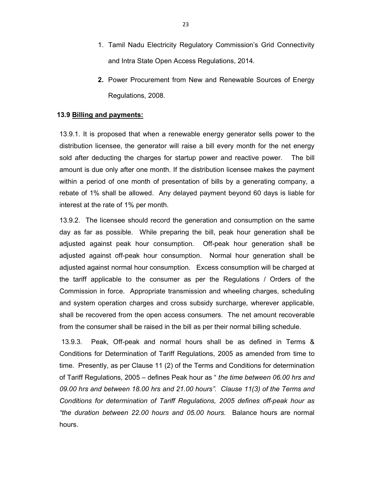- 1. Tamil Nadu Electricity Regulatory Commission's Grid Connectivity and Intra State Open Access Regulations, 2014.
- 2. Power Procurement from New and Renewable Sources of Energy Regulations, 2008.

#### 13.9 Billing and payments:

13.9.1. It is proposed that when a renewable energy generator sells power to the distribution licensee, the generator will raise a bill every month for the net energy sold after deducting the charges for startup power and reactive power. The bill amount is due only after one month. If the distribution licensee makes the payment within a period of one month of presentation of bills by a generating company, a rebate of 1% shall be allowed. Any delayed payment beyond 60 days is liable for interest at the rate of 1% per month.

13.9.2. The licensee should record the generation and consumption on the same day as far as possible. While preparing the bill, peak hour generation shall be adjusted against peak hour consumption. Off-peak hour generation shall be adjusted against off-peak hour consumption. Normal hour generation shall be adjusted against normal hour consumption. Excess consumption will be charged at the tariff applicable to the consumer as per the Regulations / Orders of the Commission in force. Appropriate transmission and wheeling charges, scheduling and system operation charges and cross subsidy surcharge, wherever applicable, shall be recovered from the open access consumers. The net amount recoverable from the consumer shall be raised in the bill as per their normal billing schedule.

 13.9.3. Peak, Off-peak and normal hours shall be as defined in Terms & Conditions for Determination of Tariff Regulations, 2005 as amended from time to time. Presently, as per Clause 11 (2) of the Terms and Conditions for determination of Tariff Regulations, 2005 – defines Peak hour as " the time between 06.00 hrs and 09.00 hrs and between 18.00 hrs and 21.00 hours". Clause 11(3) of the Terms and Conditions for determination of Tariff Regulations, 2005 defines off-peak hour as "the duration between 22.00 hours and 05.00 hours. Balance hours are normal hours.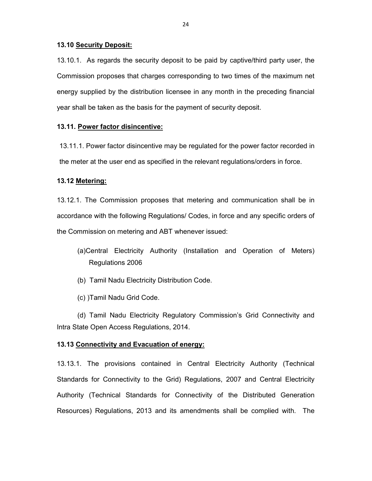#### 13.10 Security Deposit:

13.10.1. As regards the security deposit to be paid by captive/third party user, the Commission proposes that charges corresponding to two times of the maximum net energy supplied by the distribution licensee in any month in the preceding financial year shall be taken as the basis for the payment of security deposit.

#### 13.11. Power factor disincentive:

13.11.1. Power factor disincentive may be regulated for the power factor recorded in the meter at the user end as specified in the relevant regulations/orders in force.

#### 13.12 Metering:

13.12.1. The Commission proposes that metering and communication shall be in accordance with the following Regulations/ Codes, in force and any specific orders of the Commission on metering and ABT whenever issued:

- (a)Central Electricity Authority (Installation and Operation of Meters) Regulations 2006
- (b) Tamil Nadu Electricity Distribution Code.
- (c) )Tamil Nadu Grid Code.

(d) Tamil Nadu Electricity Regulatory Commission's Grid Connectivity and Intra State Open Access Regulations, 2014.

#### 13.13 Connectivity and Evacuation of energy:

13.13.1. The provisions contained in Central Electricity Authority (Technical Standards for Connectivity to the Grid) Regulations, 2007 and Central Electricity Authority (Technical Standards for Connectivity of the Distributed Generation Resources) Regulations, 2013 and its amendments shall be complied with. The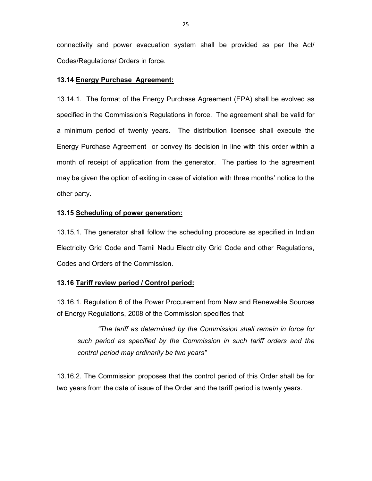connectivity and power evacuation system shall be provided as per the Act/ Codes/Regulations/ Orders in force.

### 13.14 Energy Purchase Agreement:

13.14.1. The format of the Energy Purchase Agreement (EPA) shall be evolved as specified in the Commission's Regulations in force. The agreement shall be valid for a minimum period of twenty years. The distribution licensee shall execute the Energy Purchase Agreement or convey its decision in line with this order within a month of receipt of application from the generator. The parties to the agreement may be given the option of exiting in case of violation with three months' notice to the other party.

### 13.15 Scheduling of power generation:

13.15.1. The generator shall follow the scheduling procedure as specified in Indian Electricity Grid Code and Tamil Nadu Electricity Grid Code and other Regulations, Codes and Orders of the Commission.

### 13.16 Tariff review period / Control period:

13.16.1. Regulation 6 of the Power Procurement from New and Renewable Sources of Energy Regulations, 2008 of the Commission specifies that

"The tariff as determined by the Commission shall remain in force for such period as specified by the Commission in such tariff orders and the control period may ordinarily be two years"

13.16.2. The Commission proposes that the control period of this Order shall be for two years from the date of issue of the Order and the tariff period is twenty years.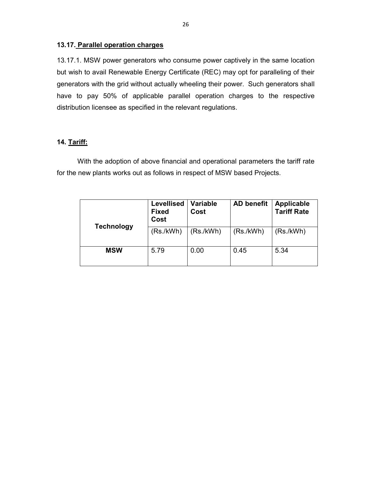### 13.17. Parallel operation charges

13.17.1. MSW power generators who consume power captively in the same location but wish to avail Renewable Energy Certificate (REC) may opt for paralleling of their generators with the grid without actually wheeling their power. Such generators shall have to pay 50% of applicable parallel operation charges to the respective distribution licensee as specified in the relevant regulations.

## 14. Tariff:

With the adoption of above financial and operational parameters the tariff rate for the new plants works out as follows in respect of MSW based Projects.

| <b>Technology</b> | <b>Levellised</b><br><b>Fixed</b><br>Cost | Variable<br>Cost | <b>AD benefit</b> | Applicable<br><b>Tariff Rate</b> |  |  |  |
|-------------------|-------------------------------------------|------------------|-------------------|----------------------------------|--|--|--|
|                   | (Rs./kWh)                                 | (Rs./kWh)        | (Rs./kWh)         | (Rs./kWh)                        |  |  |  |
| <b>MSW</b>        | 5.79                                      | 0.00             | 0.45              | 5.34                             |  |  |  |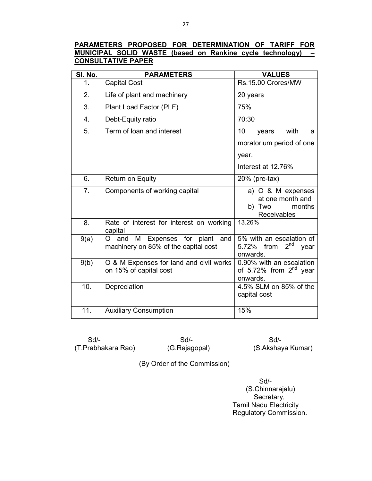## PARAMETERS PROPOSED FOR DETERMINATION OF TARIFF FOR MUNICIPAL SOLID WASTE (based on Rankine cycle technology) – CONSULTATIVE PAPER

| <b>SI. No.</b> | <b>PARAMETERS</b>                                                                      | <b>VALUES</b>                                                                       |  |  |  |  |  |  |
|----------------|----------------------------------------------------------------------------------------|-------------------------------------------------------------------------------------|--|--|--|--|--|--|
| 1.             | <b>Capital Cost</b>                                                                    | Rs.15.00 Crores/MW                                                                  |  |  |  |  |  |  |
| 2.             | Life of plant and machinery                                                            | 20 years                                                                            |  |  |  |  |  |  |
| 3.             | Plant Load Factor (PLF)                                                                | 75%                                                                                 |  |  |  |  |  |  |
| 4.             | Debt-Equity ratio                                                                      | 70:30                                                                               |  |  |  |  |  |  |
| 5.             | Term of loan and interest                                                              | with<br>10<br>years<br>a<br>moratorium period of one<br>year.<br>Interest at 12.76% |  |  |  |  |  |  |
| 6.             | <b>Return on Equity</b>                                                                | 20% (pre-tax)                                                                       |  |  |  |  |  |  |
| 7.             | Components of working capital                                                          | a) O & M expenses<br>at one month and<br>b) Two<br>months<br><b>Receivables</b>     |  |  |  |  |  |  |
| 8.             | Rate of interest for interest on working<br>capital                                    | 13.26%                                                                              |  |  |  |  |  |  |
| 9(a)           | M<br>Expenses for plant and<br>$\Omega$<br>and<br>machinery on 85% of the capital cost | 5% with an escalation of<br>2 <sup>nd</sup><br>5.72%<br>from<br>year<br>onwards.    |  |  |  |  |  |  |
| 9(b)           | O & M Expenses for land and civil works<br>on 15% of capital cost                      | 0.90% with an escalation<br>of 5.72% from $2nd$ year<br>onwards.                    |  |  |  |  |  |  |
| 10.            | Depreciation                                                                           | 4.5% SLM on 85% of the<br>capital cost                                              |  |  |  |  |  |  |
| 11.            | <b>Auxiliary Consumption</b>                                                           | 15%                                                                                 |  |  |  |  |  |  |

Sd/- Sd/- Sd/-

(T.Prabhakara Rao) (G.Rajagopal) (S.Akshaya Kumar)

(By Order of the Commission)

 Sd/- (S.Chinnarajalu) Secretary, Tamil Nadu Electricity Regulatory Commission.